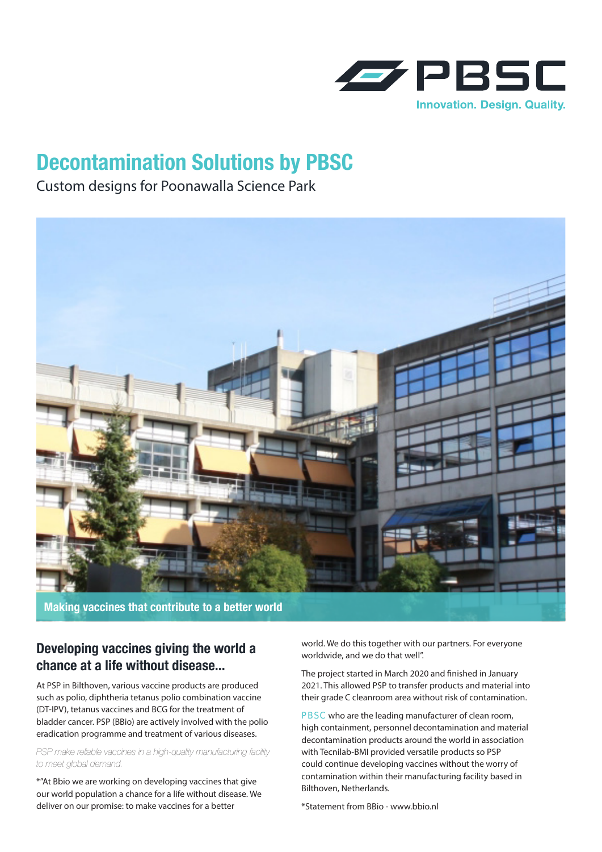

## **Decontamination Solutions by PBSC**

Custom designs for Poonawalla Science Park



**Making vaccines that contribute to a better world** 

## **Developing vaccines giving the world a chance at a life without disease...**

At PSP in Bilthoven, various vaccine products are produced such as polio, diphtheria tetanus polio combination vaccine (DT-IPV), tetanus vaccines and BCG for the treatment of bladder cancer. PSP (BBio) are actively involved with the polio eradication programme and treatment of various diseases.

*PSP make reliable vaccines in a high-quality manufacturing facility to meet global demand.* 

\*"At Bbio we are working on developing vaccines that give our world population a chance for a life without disease. We deliver on our promise: to make vaccines for a better

world. We do this together with our partners. For everyone worldwide, and we do that well".

The project started in March 2020 and finished in January 2021. This allowed PSP to transfer products and material into their grade C cleanroom area without risk of contamination.

PBSC who are the leading manufacturer of clean room, high containment, personnel decontamination and material decontamination products around the world in association with Tecnilab-BMI provided versatile products so PSP could continue developing vaccines without the worry of contamination within their manufacturing facility based in Bilthoven, Netherlands.

\*Statement from BBio - www.bbio.nl